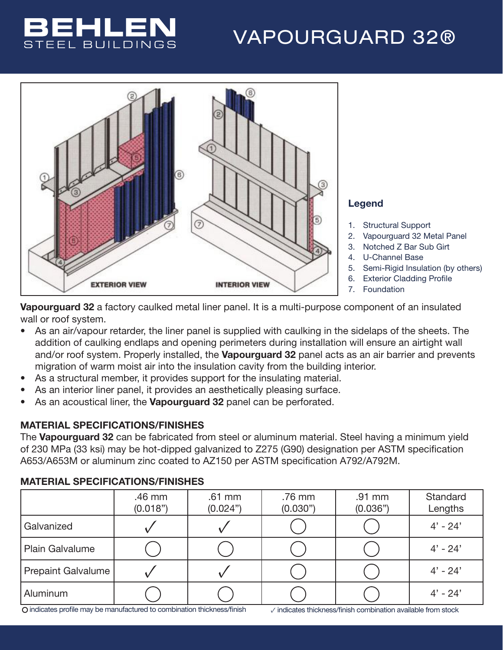## BEHLEN STEEL BUILDINGS

## VAPOURGUARD 32®



## Legend

- 1. Structural Support
- 2. Vapourguard 32 Metal Panel
- 3. Notched Z Bar Sub Girt
- 4. U-Channel Base
- 5. Semi-Rigid Insulation (by others)
- 6. Exterior Cladding Profile
- 7. Foundation

Vapourguard 32 a factory caulked metal liner panel. It is a multi-purpose component of an insulated wall or roof system.

- As an air/vapour retarder, the liner panel is supplied with caulking in the sidelaps of the sheets. The addition of caulking endlaps and opening perimeters during installation will ensure an airtight wall and/or roof system. Properly installed, the **Vapourguard 32** panel acts as an air barrier and prevents migration of warm moist air into the insulation cavity from the building interior.
- As a structural member, it provides support for the insulating material.
- As an interior liner panel, it provides an aesthetically pleasing surface.
- As an acoustical liner, the Vapourguard 32 panel can be perforated.

## MATERIAL SPECIFICATIONS/FINISHES

The Vapourguard 32 can be fabricated from steel or aluminum material. Steel having a minimum yield of 230 MPa (33 ksi) may be hot-dipped galvanized to Z275 (G90) designation per ASTM specification A653/A653M or aluminum zinc coated to AZ150 per ASTM specification A792/A792M.

### .46 mm (0.018") .61 mm (0.024") .76 mm (0.030") .91 mm (0.036") **Standard** Lengths Galvanized  $\bigvee$   $\bigvee$   $\bigcup$   $\bigcirc$   $\bigcirc$   $\bigcirc$   $\bigcirc$   $\uparrow$  4' - 24' Plain Galvalume 4' - 24' Prepaint Galvalume ✓ ✓ 4' - 24' Aluminum 4' - 24'

## MATERIAL SPECIFICATIONS/FINISHES

indicates profile may be manufactured to combination thickness/finish ✓ indicates thickness/finish combination available from stock